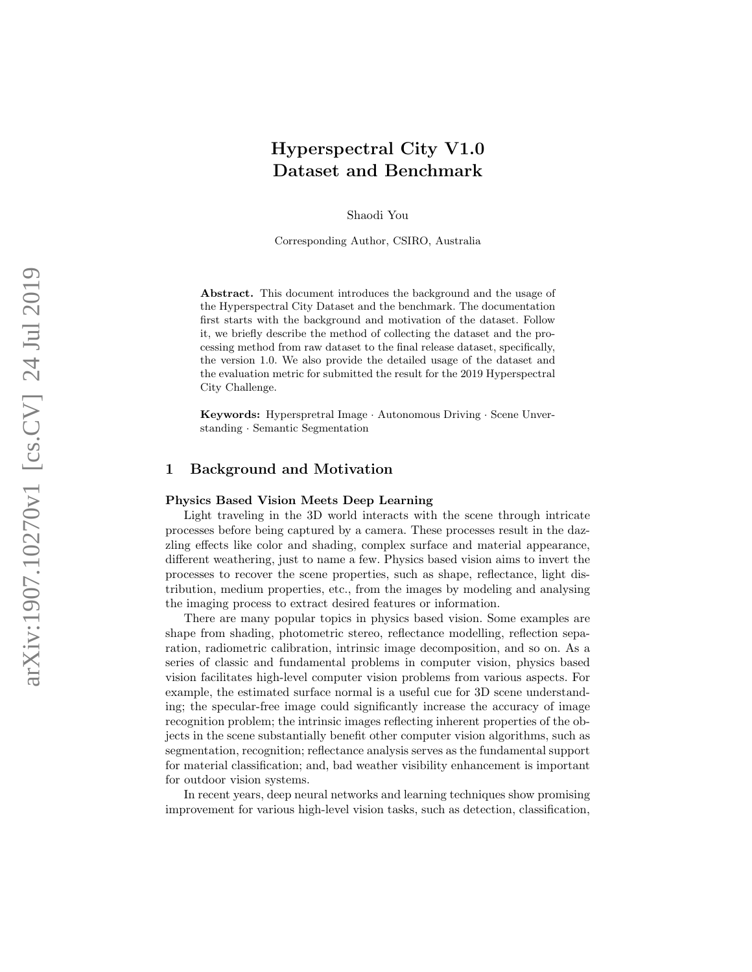# Hyperspectral City V1.0 Dataset and Benchmark

Shaodi You

Corresponding Author, CSIRO, Australia

Abstract. This document introduces the background and the usage of the Hyperspectral City Dataset and the benchmark. The documentation first starts with the background and motivation of the dataset. Follow it, we briefly describe the method of collecting the dataset and the processing method from raw dataset to the final release dataset, specifically, the version 1.0. We also provide the detailed usage of the dataset and the evaluation metric for submitted the result for the 2019 Hyperspectral City Challenge.

Keywords: Hyperspretral Image · Autonomous Driving · Scene Unverstanding · Semantic Segmentation

# 1 Background and Motivation

#### Physics Based Vision Meets Deep Learning

Light traveling in the 3D world interacts with the scene through intricate processes before being captured by a camera. These processes result in the dazzling effects like color and shading, complex surface and material appearance, different weathering, just to name a few. Physics based vision aims to invert the processes to recover the scene properties, such as shape, reflectance, light distribution, medium properties, etc., from the images by modeling and analysing the imaging process to extract desired features or information.

There are many popular topics in physics based vision. Some examples are shape from shading, photometric stereo, reflectance modelling, reflection separation, radiometric calibration, intrinsic image decomposition, and so on. As a series of classic and fundamental problems in computer vision, physics based vision facilitates high-level computer vision problems from various aspects. For example, the estimated surface normal is a useful cue for 3D scene understanding; the specular-free image could significantly increase the accuracy of image recognition problem; the intrinsic images reflecting inherent properties of the objects in the scene substantially benefit other computer vision algorithms, such as segmentation, recognition; reflectance analysis serves as the fundamental support for material classification; and, bad weather visibility enhancement is important for outdoor vision systems.

In recent years, deep neural networks and learning techniques show promising improvement for various high-level vision tasks, such as detection, classification,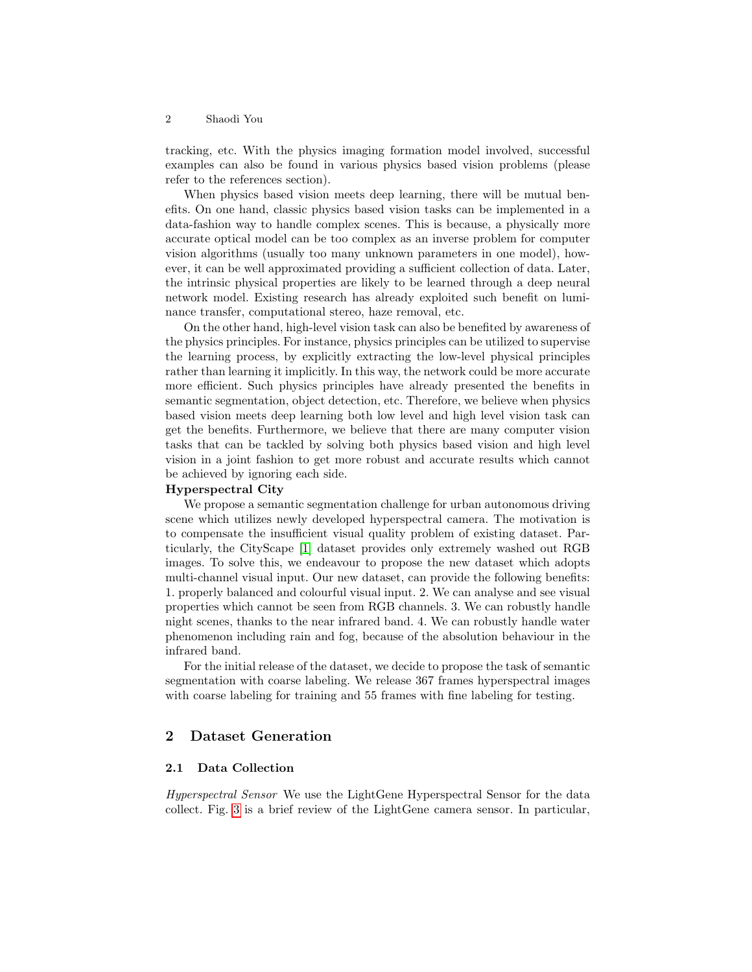tracking, etc. With the physics imaging formation model involved, successful examples can also be found in various physics based vision problems (please refer to the references section).

When physics based vision meets deep learning, there will be mutual benefits. On one hand, classic physics based vision tasks can be implemented in a data-fashion way to handle complex scenes. This is because, a physically more accurate optical model can be too complex as an inverse problem for computer vision algorithms (usually too many unknown parameters in one model), however, it can be well approximated providing a sufficient collection of data. Later, the intrinsic physical properties are likely to be learned through a deep neural network model. Existing research has already exploited such benefit on luminance transfer, computational stereo, haze removal, etc.

On the other hand, high-level vision task can also be benefited by awareness of the physics principles. For instance, physics principles can be utilized to supervise the learning process, by explicitly extracting the low-level physical principles rather than learning it implicitly. In this way, the network could be more accurate more efficient. Such physics principles have already presented the benefits in semantic segmentation, object detection, etc. Therefore, we believe when physics based vision meets deep learning both low level and high level vision task can get the benefits. Furthermore, we believe that there are many computer vision tasks that can be tackled by solving both physics based vision and high level vision in a joint fashion to get more robust and accurate results which cannot be achieved by ignoring each side.

#### Hyperspectral City

We propose a semantic segmentation challenge for urban autonomous driving scene which utilizes newly developed hyperspectral camera. The motivation is to compensate the insufficient visual quality problem of existing dataset. Particularly, the CityScape [\[1\]](#page-7-0) dataset provides only extremely washed out RGB images. To solve this, we endeavour to propose the new dataset which adopts multi-channel visual input. Our new dataset, can provide the following benefits: 1. properly balanced and colourful visual input. 2. We can analyse and see visual properties which cannot be seen from RGB channels. 3. We can robustly handle night scenes, thanks to the near infrared band. 4. We can robustly handle water phenomenon including rain and fog, because of the absolution behaviour in the infrared band.

For the initial release of the dataset, we decide to propose the task of semantic segmentation with coarse labeling. We release 367 frames hyperspectral images with coarse labeling for training and 55 frames with fine labeling for testing.

# 2 Dataset Generation

## 2.1 Data Collection

Hyperspectral Sensor We use the LightGene Hyperspectral Sensor for the data collect. Fig. [3](#page-4-0) is a brief review of the LightGene camera sensor. In particular,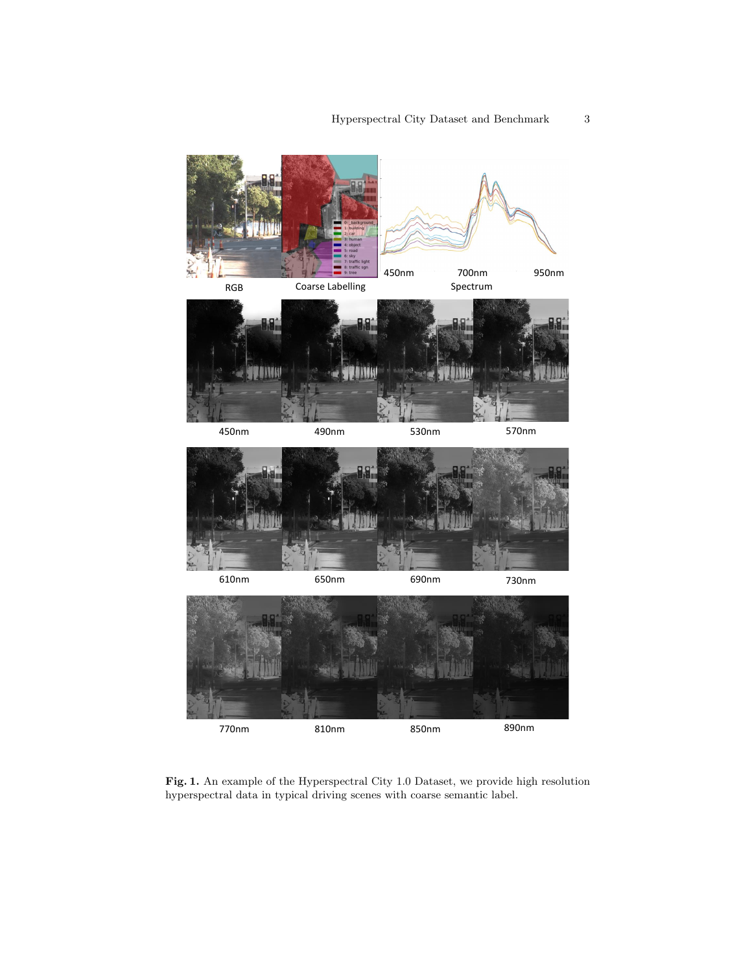

<span id="page-2-0"></span>Fig. 1. An example of the Hyperspectral City 1.0 Dataset, we provide high resolution hyperspectral data in typical driving scenes with coarse semantic label.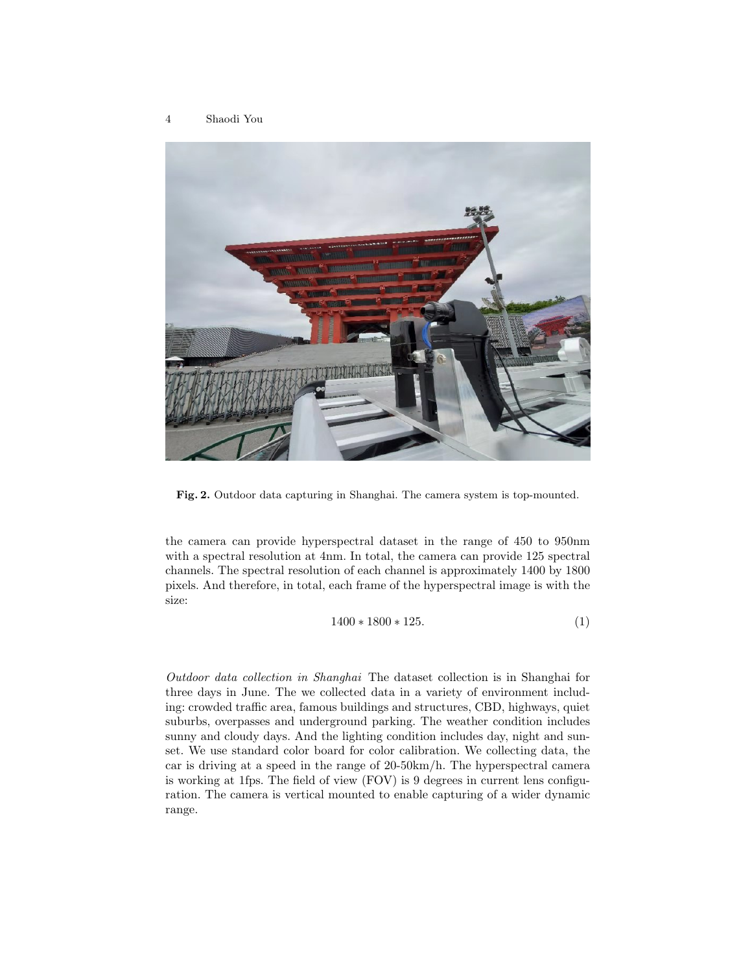

Fig. 2. Outdoor data capturing in Shanghai. The camera system is top-mounted.

the camera can provide hyperspectral dataset in the range of 450 to 950nm with a spectral resolution at 4nm. In total, the camera can provide 125 spectral channels. The spectral resolution of each channel is approximately 1400 by 1800 pixels. And therefore, in total, each frame of the hyperspectral image is with the size:

$$
1400 * 1800 * 125.
$$
 (1)

Outdoor data collection in Shanghai The dataset collection is in Shanghai for three days in June. The we collected data in a variety of environment including: crowded traffic area, famous buildings and structures, CBD, highways, quiet suburbs, overpasses and underground parking. The weather condition includes sunny and cloudy days. And the lighting condition includes day, night and sunset. We use standard color board for color calibration. We collecting data, the car is driving at a speed in the range of 20-50km/h. The hyperspectral camera is working at 1fps. The field of view (FOV) is 9 degrees in current lens configuration. The camera is vertical mounted to enable capturing of a wider dynamic range.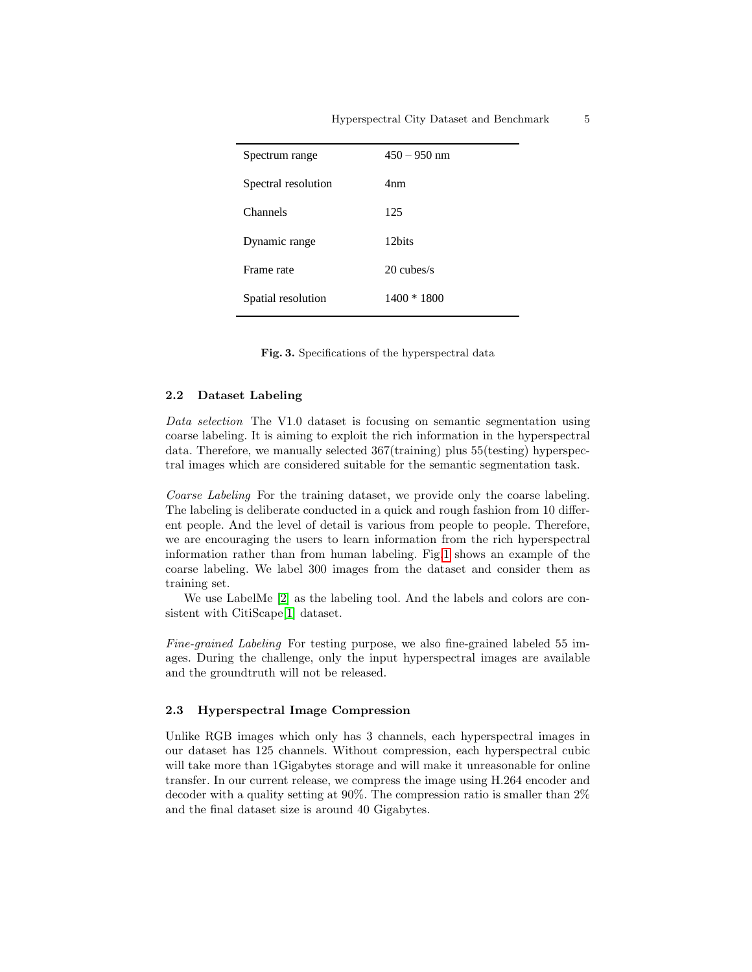| Spectrum range      | $450 - 950$ nm  |
|---------------------|-----------------|
| Spectral resolution | 4 <sub>nm</sub> |
| Channels            | 125             |
| Dynamic range       | 12bits          |
| Frame rate          | $20$ cubes/s    |
| Spatial resolution  | $1400 * 1800$   |

<span id="page-4-0"></span>Fig. 3. Specifications of the hyperspectral data

## 2.2 Dataset Labeling

Data selection The V1.0 dataset is focusing on semantic segmentation using coarse labeling. It is aiming to exploit the rich information in the hyperspectral data. Therefore, we manually selected 367(training) plus 55(testing) hyperspectral images which are considered suitable for the semantic segmentation task.

Coarse Labeling For the training dataset, we provide only the coarse labeling. The labeling is deliberate conducted in a quick and rough fashion from 10 different people. And the level of detail is various from people to people. Therefore, we are encouraging the users to learn information from the rich hyperspectral information rather than from human labeling. Fig[.1](#page-2-0) shows an example of the coarse labeling. We label 300 images from the dataset and consider them as training set.

We use LabelMe [\[2\]](#page-7-1) as the labeling tool. And the labels and colors are consistent with CitiScape[\[1\]](#page-7-0) dataset.

Fine-grained Labeling For testing purpose, we also fine-grained labeled 55 images. During the challenge, only the input hyperspectral images are available and the groundtruth will not be released.

#### 2.3 Hyperspectral Image Compression

Unlike RGB images which only has 3 channels, each hyperspectral images in our dataset has 125 channels. Without compression, each hyperspectral cubic will take more than 1Gigabytes storage and will make it unreasonable for online transfer. In our current release, we compress the image using H.264 encoder and decoder with a quality setting at 90%. The compression ratio is smaller than 2% and the final dataset size is around 40 Gigabytes.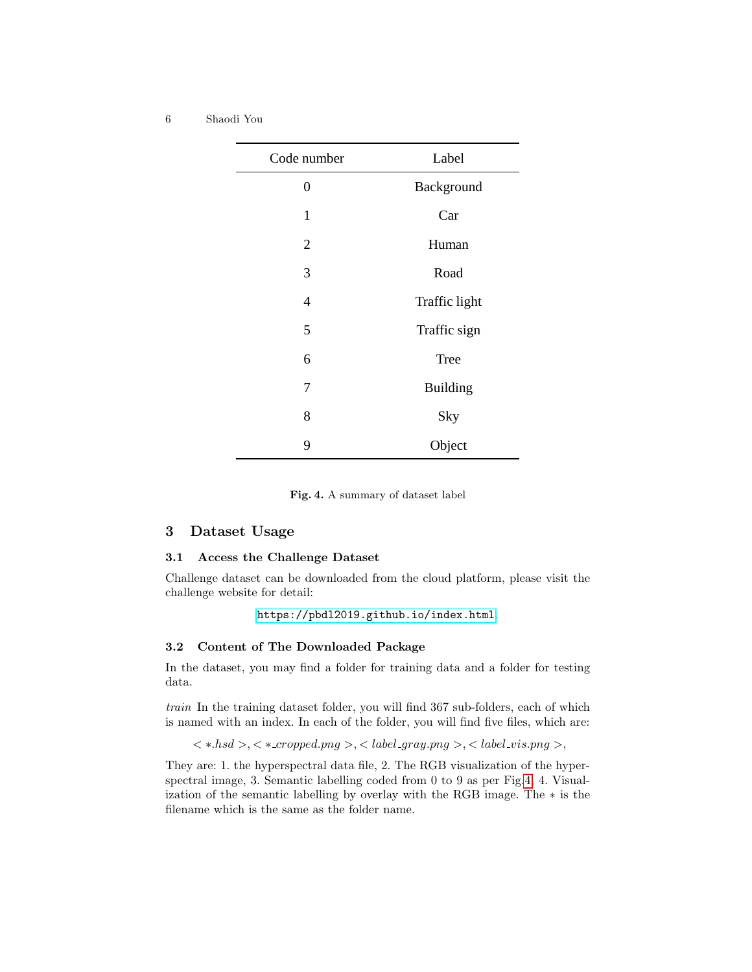| Code number    | Label           |
|----------------|-----------------|
| 0              | Background      |
| $\mathbf{1}$   | Car             |
| $\overline{2}$ | Human           |
| 3              | Road            |
| $\overline{4}$ | Traffic light   |
| 5              | Traffic sign    |
| 6              | Tree            |
| 7              | <b>Building</b> |
| 8              | Sky             |
| 9              | Object          |

<span id="page-5-0"></span>Fig. 4. A summary of dataset label

## 3 Dataset Usage

## 3.1 Access the Challenge Dataset

Challenge dataset can be downloaded from the cloud platform, please visit the challenge website for detail:

```
https://pbdl2019.github.io/index.html.
```
# 3.2 Content of The Downloaded Package

In the dataset, you may find a folder for training data and a folder for testing data.

train In the training dataset folder, you will find 367 sub-folders, each of which is named with an index. In each of the folder, you will find five files, which are:

```
\langle *.h sd>,\langle * .cropped.png>,\langle ~label\_gray.png>,\langle ~label\_vis.png>,\rangle
```
They are: 1. the hyperspectral data file, 2. The RGB visualization of the hyperspectral image, 3. Semantic labelling coded from 0 to 9 as per Fig[.4,](#page-5-0) 4. Visualization of the semantic labelling by overlay with the RGB image. The ∗ is the filename which is the same as the folder name.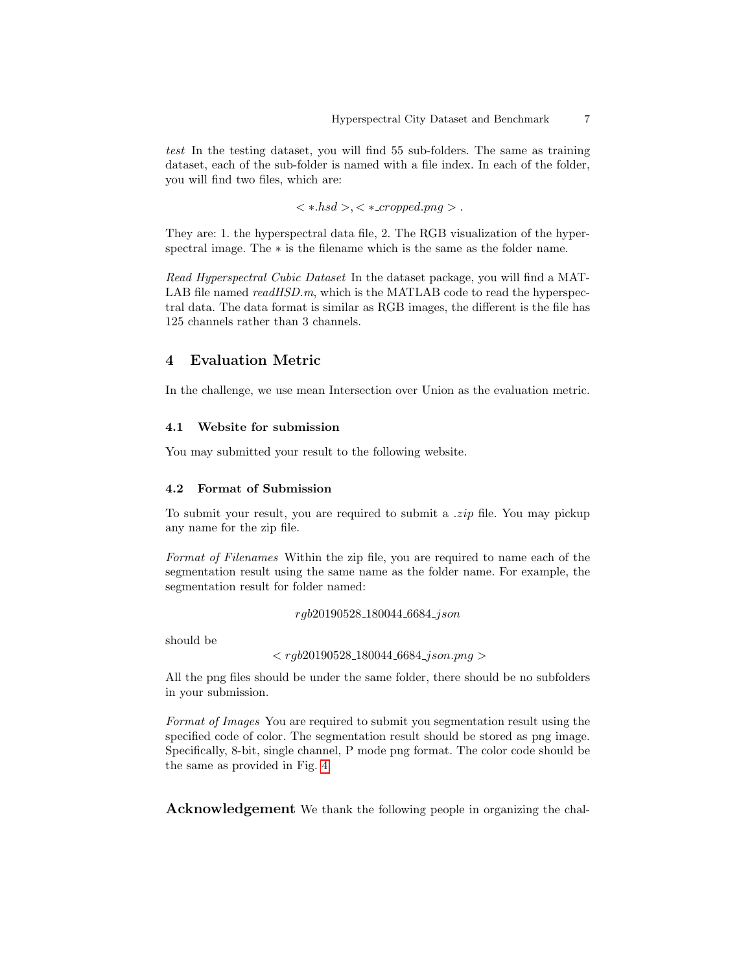test In the testing dataset, you will find 55 sub-folders. The same as training dataset, each of the sub-folder is named with a file index. In each of the folder, you will find two files, which are:

 $\langle *.hsd>,\langle *_{\mathit{ex}omped,pnq} \rangle.$ 

They are: 1. the hyperspectral data file, 2. The RGB visualization of the hyperspectral image. The  $*$  is the filename which is the same as the folder name.

Read Hyperspectral Cubic Dataset In the dataset package, you will find a MAT-LAB file named  $readHSD.m$ , which is the MATLAB code to read the hyperspectral data. The data format is similar as RGB images, the different is the file has 125 channels rather than 3 channels.

# 4 Evaluation Metric

In the challenge, we use mean Intersection over Union as the evaluation metric.

### 4.1 Website for submission

You may submitted your result to the following website.

#### 4.2 Format of Submission

To submit your result, you are required to submit a .zip file. You may pickup any name for the zip file.

Format of Filenames Within the zip file, you are required to name each of the segmentation result using the same name as the folder name. For example, the segmentation result for folder named:

rgb20190528 180044 6684 json

should be

 $\langle$  rgb20190528\_180044\_6684\_json.png >

All the png files should be under the same folder, there should be no subfolders in your submission.

Format of Images You are required to submit you segmentation result using the specified code of color. The segmentation result should be stored as png image. Specifically, 8-bit, single channel, P mode png format. The color code should be the same as provided in Fig. [4.](#page-5-0)

Acknowledgement We thank the following people in organizing the chal-